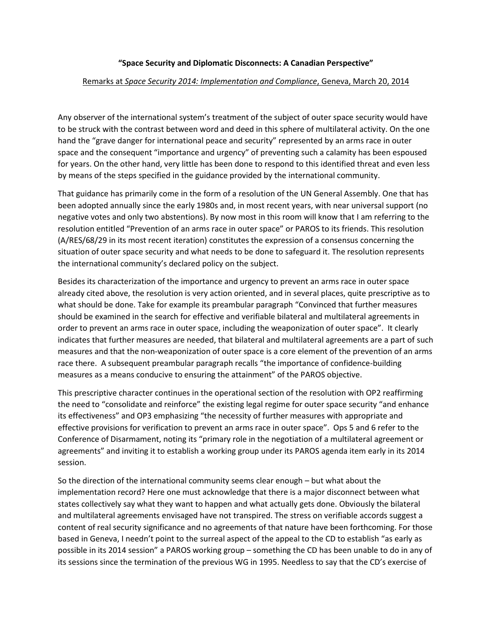## **"Space Security and Diplomatic Disconnects: A Canadian Perspective"**

## Remarks at *Space Security 2014: Implementation and Compliance*, Geneva, March 20, 2014

Any observer of the international system's treatment of the subject of outer space security would have to be struck with the contrast between word and deed in this sphere of multilateral activity. On the one hand the "grave danger for international peace and security" represented by an arms race in outer space and the consequent "importance and urgency" of preventing such a calamity has been espoused for years. On the other hand, very little has been done to respond to this identified threat and even less by means of the steps specified in the guidance provided by the international community.

That guidance has primarily come in the form of a resolution of the UN General Assembly. One that has been adopted annually since the early 1980s and, in most recent years, with near universal support (no negative votes and only two abstentions). By now most in this room will know that I am referring to the resolution entitled "Prevention of an arms race in outer space" or PAROS to its friends. This resolution (A/RES/68/29 in its most recent iteration) constitutes the expression of a consensus concerning the situation of outer space security and what needs to be done to safeguard it. The resolution represents the international community's declared policy on the subject.

Besides its characterization of the importance and urgency to prevent an arms race in outer space already cited above, the resolution is very action oriented, and in several places, quite prescriptive as to what should be done. Take for example its preambular paragraph "Convinced that further measures should be examined in the search for effective and verifiable bilateral and multilateral agreements in order to prevent an arms race in outer space, including the weaponization of outer space". It clearly indicates that further measures are needed, that bilateral and multilateral agreements are a part of such measures and that the non-weaponization of outer space is a core element of the prevention of an arms race there. A subsequent preambular paragraph recalls "the importance of confidence-building measures as a means conducive to ensuring the attainment" of the PAROS objective.

This prescriptive character continues in the operational section of the resolution with OP2 reaffirming the need to "consolidate and reinforce" the existing legal regime for outer space security "and enhance its effectiveness" and OP3 emphasizing "the necessity of further measures with appropriate and effective provisions for verification to prevent an arms race in outer space". Ops 5 and 6 refer to the Conference of Disarmament, noting its "primary role in the negotiation of a multilateral agreement or agreements" and inviting it to establish a working group under its PAROS agenda item early in its 2014 session.

So the direction of the international community seems clear enough – but what about the implementation record? Here one must acknowledge that there is a major disconnect between what states collectively say what they want to happen and what actually gets done. Obviously the bilateral and multilateral agreements envisaged have not transpired. The stress on verifiable accords suggest a content of real security significance and no agreements of that nature have been forthcoming. For those based in Geneva, I needn't point to the surreal aspect of the appeal to the CD to establish "as early as possible in its 2014 session" a PAROS working group – something the CD has been unable to do in any of its sessions since the termination of the previous WG in 1995. Needless to say that the CD's exercise of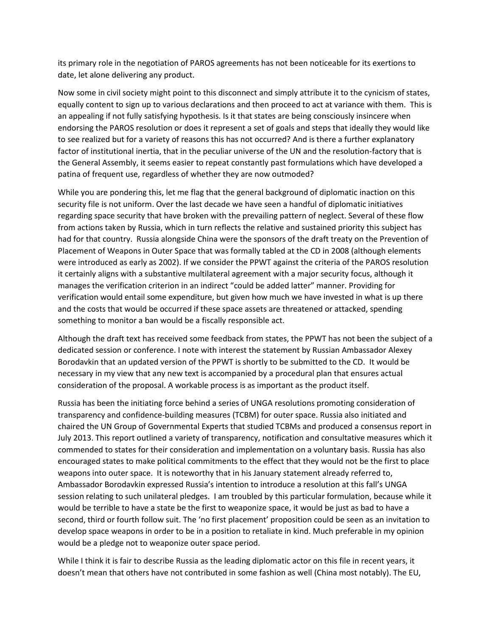its primary role in the negotiation of PAROS agreements has not been noticeable for its exertions to date, let alone delivering any product.

Now some in civil society might point to this disconnect and simply attribute it to the cynicism of states, equally content to sign up to various declarations and then proceed to act at variance with them. This is an appealing if not fully satisfying hypothesis. Is it that states are being consciously insincere when endorsing the PAROS resolution or does it represent a set of goals and steps that ideally they would like to see realized but for a variety of reasons this has not occurred? And is there a further explanatory factor of institutional inertia, that in the peculiar universe of the UN and the resolution-factory that is the General Assembly, it seems easier to repeat constantly past formulations which have developed a patina of frequent use, regardless of whether they are now outmoded?

While you are pondering this, let me flag that the general background of diplomatic inaction on this security file is not uniform. Over the last decade we have seen a handful of diplomatic initiatives regarding space security that have broken with the prevailing pattern of neglect. Several of these flow from actions taken by Russia, which in turn reflects the relative and sustained priority this subject has had for that country. Russia alongside China were the sponsors of the draft treaty on the Prevention of Placement of Weapons in Outer Space that was formally tabled at the CD in 2008 (although elements were introduced as early as 2002). If we consider the PPWT against the criteria of the PAROS resolution it certainly aligns with a substantive multilateral agreement with a major security focus, although it manages the verification criterion in an indirect "could be added latter" manner. Providing for verification would entail some expenditure, but given how much we have invested in what is up there and the costs that would be occurred if these space assets are threatened or attacked, spending something to monitor a ban would be a fiscally responsible act.

Although the draft text has received some feedback from states, the PPWT has not been the subject of a dedicated session or conference. I note with interest the statement by Russian Ambassador Alexey Borodavkin that an updated version of the PPWT is shortly to be submitted to the CD. It would be necessary in my view that any new text is accompanied by a procedural plan that ensures actual consideration of the proposal. A workable process is as important as the product itself.

Russia has been the initiating force behind a series of UNGA resolutions promoting consideration of transparency and confidence-building measures (TCBM) for outer space. Russia also initiated and chaired the UN Group of Governmental Experts that studied TCBMs and produced a consensus report in July 2013. This report outlined a variety of transparency, notification and consultative measures which it commended to states for their consideration and implementation on a voluntary basis. Russia has also encouraged states to make political commitments to the effect that they would not be the first to place weapons into outer space. It is noteworthy that in his January statement already referred to, Ambassador Borodavkin expressed Russia's intention to introduce a resolution at this fall's UNGA session relating to such unilateral pledges. I am troubled by this particular formulation, because while it would be terrible to have a state be the first to weaponize space, it would be just as bad to have a second, third or fourth follow suit. The 'no first placement' proposition could be seen as an invitation to develop space weapons in order to be in a position to retaliate in kind. Much preferable in my opinion would be a pledge not to weaponize outer space period.

While I think it is fair to describe Russia as the leading diplomatic actor on this file in recent years, it doesn't mean that others have not contributed in some fashion as well (China most notably). The EU,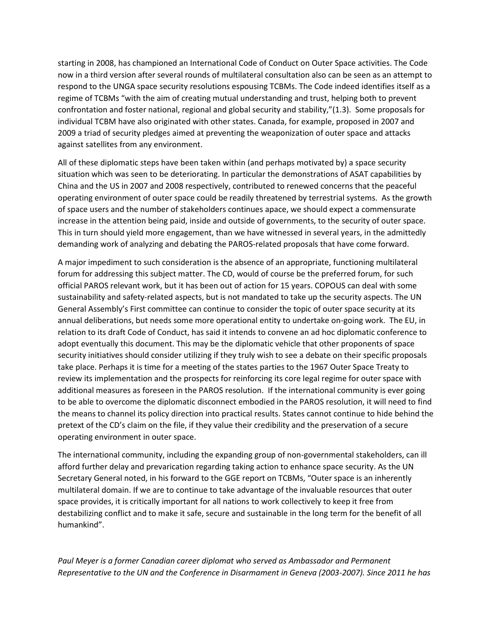starting in 2008, has championed an International Code of Conduct on Outer Space activities. The Code now in a third version after several rounds of multilateral consultation also can be seen as an attempt to respond to the UNGA space security resolutions espousing TCBMs. The Code indeed identifies itself as a regime of TCBMs "with the aim of creating mutual understanding and trust, helping both to prevent confrontation and foster national, regional and global security and stability,"(1.3). Some proposals for individual TCBM have also originated with other states. Canada, for example, proposed in 2007 and 2009 a triad of security pledges aimed at preventing the weaponization of outer space and attacks against satellites from any environment.

All of these diplomatic steps have been taken within (and perhaps motivated by) a space security situation which was seen to be deteriorating. In particular the demonstrations of ASAT capabilities by China and the US in 2007 and 2008 respectively, contributed to renewed concerns that the peaceful operating environment of outer space could be readily threatened by terrestrial systems. As the growth of space users and the number of stakeholders continues apace, we should expect a commensurate increase in the attention being paid, inside and outside of governments, to the security of outer space. This in turn should yield more engagement, than we have witnessed in several years, in the admittedly demanding work of analyzing and debating the PAROS-related proposals that have come forward.

A major impediment to such consideration is the absence of an appropriate, functioning multilateral forum for addressing this subject matter. The CD, would of course be the preferred forum, for such official PAROS relevant work, but it has been out of action for 15 years. COPOUS can deal with some sustainability and safety-related aspects, but is not mandated to take up the security aspects. The UN General Assembly's First committee can continue to consider the topic of outer space security at its annual deliberations, but needs some more operational entity to undertake on-going work. The EU, in relation to its draft Code of Conduct, has said it intends to convene an ad hoc diplomatic conference to adopt eventually this document. This may be the diplomatic vehicle that other proponents of space security initiatives should consider utilizing if they truly wish to see a debate on their specific proposals take place. Perhaps it is time for a meeting of the states parties to the 1967 Outer Space Treaty to review its implementation and the prospects for reinforcing its core legal regime for outer space with additional measures as foreseen in the PAROS resolution. If the international community is ever going to be able to overcome the diplomatic disconnect embodied in the PAROS resolution, it will need to find the means to channel its policy direction into practical results. States cannot continue to hide behind the pretext of the CD's claim on the file, if they value their credibility and the preservation of a secure operating environment in outer space.

The international community, including the expanding group of non-governmental stakeholders, can ill afford further delay and prevarication regarding taking action to enhance space security. As the UN Secretary General noted, in his forward to the GGE report on TCBMs, "Outer space is an inherently multilateral domain. If we are to continue to take advantage of the invaluable resources that outer space provides, it is critically important for all nations to work collectively to keep it free from destabilizing conflict and to make it safe, secure and sustainable in the long term for the benefit of all humankind".

*Paul Meyer is a former Canadian career diplomat who served as Ambassador and Permanent Representative to the UN and the Conference in Disarmament in Geneva (2003-2007). Since 2011 he has*